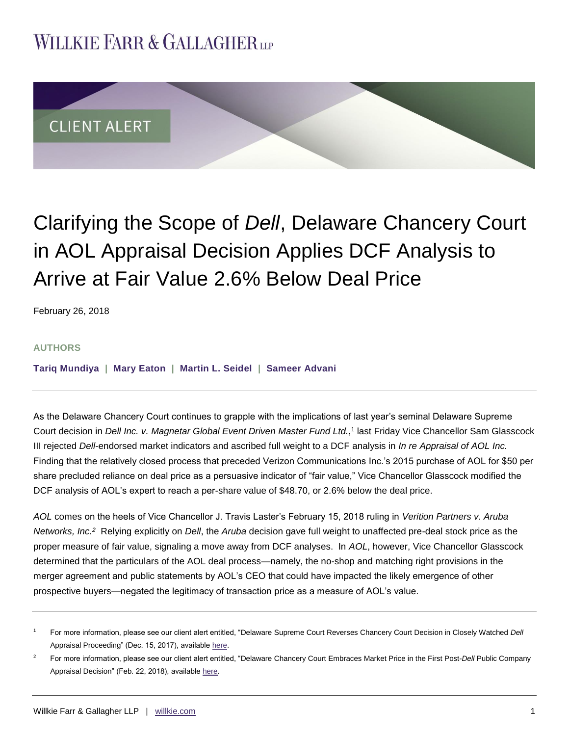## **WILLKIE FARR & GALLAGHERUP**



# Clarifying the Scope of *Dell*, Delaware Chancery Court in AOL Appraisal Decision Applies DCF Analysis to Arrive at Fair Value 2.6% Below Deal Price

February 26, 2018

#### **AUTHORS**

**[Tariq Mundiya](http://www.willkie.com/professionals/m/mundiya-tariq) | [Mary Eaton](http://www.willkie.com/professionals/e/eaton-mary) | [Martin L. Seidel](http://www.willkie.com/professionals/s/seidel-martin) | [Sameer Advani](http://www.willkie.com/professionals/a/advani-sameer)**

As the Delaware Chancery Court continues to grapple with the implications of last year's seminal Delaware Supreme Court decision in *Dell Inc. v. Magnetar Global Event Driven Master Fund Ltd.*, 1 last Friday Vice Chancellor Sam Glasscock III rejected *Dell*-endorsed market indicators and ascribed full weight to a DCF analysis in *In re Appraisal of AOL Inc.* Finding that the relatively closed process that preceded Verizon Communications Inc.'s 2015 purchase of AOL for \$50 per share precluded reliance on deal price as a persuasive indicator of "fair value," Vice Chancellor Glasscock modified the DCF analysis of AOL's expert to reach a per-share value of \$48.70, or 2.6% below the deal price.

*AOL* comes on the heels of Vice Chancellor J. Travis Laster's February 15, 2018 ruling in *Verition Partners v. Aruba Networks, Inc.<sup>2</sup>* Relying explicitly on *Dell*, the *Aruba* decision gave full weight to unaffected pre-deal stock price as the proper measure of fair value, signaling a move away from DCF analyses. In *AOL*, however, Vice Chancellor Glasscock determined that the particulars of the AOL deal process—namely, the no-shop and matching right provisions in the merger agreement and public statements by AOL's CEO that could have impacted the likely emergence of other prospective buyers—negated the legitimacy of transaction price as a measure of AOL's value.

<sup>1</sup> For more information, please see our client alert entitled, "Delaware Supreme Court Reverses Chancery Court Decision in Closely Watched *Dell* Appraisal Proceeding" (Dec. 15, 2017), availabl[e here.](http://www.willkie.com/~/media/Files/Publications/2017/12/Delaware_Supreme_Court_Reverses_Chancery_Court_Decision.pdf)

<sup>2</sup> For more information, please see our client alert entitled, "Delaware Chancery Court Embraces Market Price in the First Post-*Dell* Public Company Appraisal Decision" (Feb. 22, 2018), available [here.](http://www.willkie.com/~/media/Files/Publications/2018/02/Delaware_Chancery_Court_Embraces_Market_Price.pdf)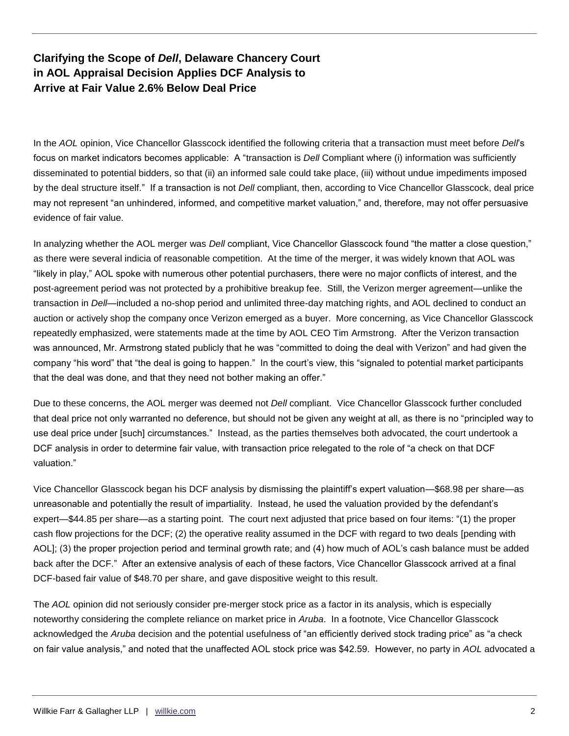## **Clarifying the Scope of** *Dell***, Delaware Chancery Court in AOL Appraisal Decision Applies DCF Analysis to Arrive at Fair Value 2.6% Below Deal Price**

In the *AOL* opinion, Vice Chancellor Glasscock identified the following criteria that a transaction must meet before *Dell*'s focus on market indicators becomes applicable: A "transaction is *Dell* Compliant where (i) information was sufficiently disseminated to potential bidders, so that (ii) an informed sale could take place, (iii) without undue impediments imposed by the deal structure itself." If a transaction is not *Dell* compliant, then, according to Vice Chancellor Glasscock, deal price may not represent "an unhindered, informed, and competitive market valuation," and, therefore, may not offer persuasive evidence of fair value.

In analyzing whether the AOL merger was *Dell* compliant, Vice Chancellor Glasscock found "the matter a close question," as there were several indicia of reasonable competition. At the time of the merger, it was widely known that AOL was "likely in play," AOL spoke with numerous other potential purchasers, there were no major conflicts of interest, and the post-agreement period was not protected by a prohibitive breakup fee. Still, the Verizon merger agreement—unlike the transaction in *Dell*—included a no-shop period and unlimited three-day matching rights, and AOL declined to conduct an auction or actively shop the company once Verizon emerged as a buyer. More concerning, as Vice Chancellor Glasscock repeatedly emphasized, were statements made at the time by AOL CEO Tim Armstrong. After the Verizon transaction was announced, Mr. Armstrong stated publicly that he was "committed to doing the deal with Verizon" and had given the company "his word" that "the deal is going to happen." In the court's view, this "signaled to potential market participants that the deal was done, and that they need not bother making an offer."

Due to these concerns, the AOL merger was deemed not *Dell* compliant. Vice Chancellor Glasscock further concluded that deal price not only warranted no deference, but should not be given any weight at all, as there is no "principled way to use deal price under [such] circumstances." Instead, as the parties themselves both advocated, the court undertook a DCF analysis in order to determine fair value, with transaction price relegated to the role of "a check on that DCF valuation."

Vice Chancellor Glasscock began his DCF analysis by dismissing the plaintiff's expert valuation—\$68.98 per share—as unreasonable and potentially the result of impartiality. Instead, he used the valuation provided by the defendant's expert—\$44.85 per share—as a starting point. The court next adjusted that price based on four items: "(1) the proper cash flow projections for the DCF; (2) the operative reality assumed in the DCF with regard to two deals [pending with AOL]; (3) the proper projection period and terminal growth rate; and (4) how much of AOL's cash balance must be added back after the DCF." After an extensive analysis of each of these factors, Vice Chancellor Glasscock arrived at a final DCF-based fair value of \$48.70 per share, and gave dispositive weight to this result.

The *AOL* opinion did not seriously consider pre-merger stock price as a factor in its analysis, which is especially noteworthy considering the complete reliance on market price in *Aruba*. In a footnote, Vice Chancellor Glasscock acknowledged the *Aruba* decision and the potential usefulness of "an efficiently derived stock trading price" as "a check on fair value analysis," and noted that the unaffected AOL stock price was \$42.59. However, no party in *AOL* advocated a